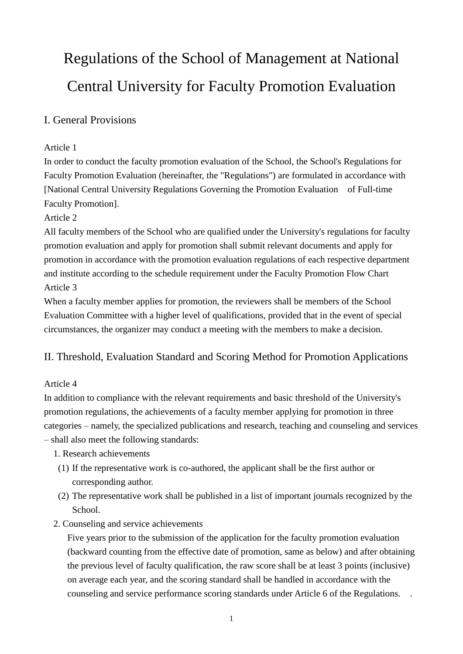# Regulations of the School of Management at National Central University for Faculty Promotion Evaluation

# I. General Provisions

## Article 1

In order to conduct the faculty promotion evaluation of the School, the School's Regulations for Faculty Promotion Evaluation (hereinafter, the "Regulations") are formulated in accordance with [National Central University Regulations Governing the Promotion Evaluation of Full-time Faculty Promotion].

#### Article 2

All faculty members of the School who are qualified under the University's regulations for faculty promotion evaluation and apply for promotion shall submit relevant documents and apply for promotion in accordance with the promotion evaluation regulations of each respective department and institute according to the schedule requirement under the Faculty Promotion Flow Chart Article 3

When a faculty member applies for promotion, the reviewers shall be members of the School Evaluation Committee with a higher level of qualifications, provided that in the event of special circumstances, the organizer may conduct a meeting with the members to make a decision.

## II. Threshold, Evaluation Standard and Scoring Method for Promotion Applications

## Article 4

In addition to compliance with the relevant requirements and basic threshold of the University's promotion regulations, the achievements of a faculty member applying for promotion in three categories – namely, the specialized publications and research, teaching and counseling and services – shall also meet the following standards:

- 1. Research achievements
- (1) If the representative work is co-authored, the applicant shall be the first author or corresponding author.
- (2) The representative work shall be published in a list of important journals recognized by the School.
- 2. Counseling and service achievements

Five years prior to the submission of the application for the faculty promotion evaluation (backward counting from the effective date of promotion, same as below) and after obtaining the previous level of faculty qualification, the raw score shall be at least 3 points (inclusive) on average each year, and the scoring standard shall be handled in accordance with the counseling and service performance scoring standards under Article 6 of the Regulations. .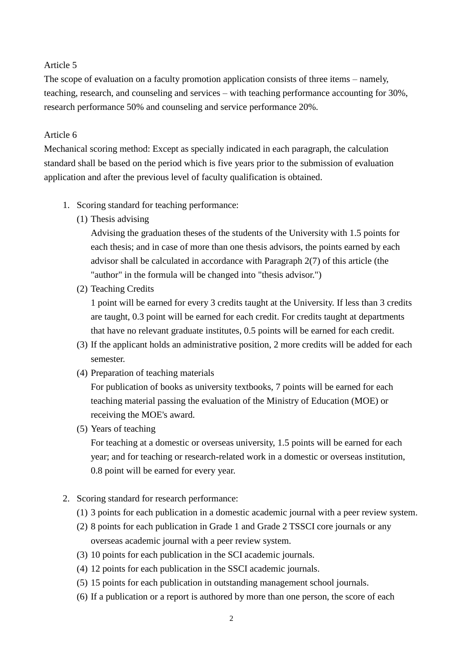#### Article 5

The scope of evaluation on a faculty promotion application consists of three items – namely, teaching, research, and counseling and services – with teaching performance accounting for 30%, research performance 50% and counseling and service performance 20%.

#### Article 6

Mechanical scoring method: Except as specially indicated in each paragraph, the calculation standard shall be based on the period which is five years prior to the submission of evaluation application and after the previous level of faculty qualification is obtained.

- 1. Scoring standard for teaching performance:
	- (1) Thesis advising

Advising the graduation theses of the students of the University with 1.5 points for each thesis; and in case of more than one thesis advisors, the points earned by each advisor shall be calculated in accordance with Paragraph 2(7) of this article (the "author" in the formula will be changed into "thesis advisor.")

(2) Teaching Credits

1 point will be earned for every 3 credits taught at the University. If less than 3 credits are taught, 0.3 point will be earned for each credit. For credits taught at departments that have no relevant graduate institutes, 0.5 points will be earned for each credit.

- (3) If the applicant holds an administrative position, 2 more credits will be added for each semester.
- (4) Preparation of teaching materials

For publication of books as university textbooks, 7 points will be earned for each teaching material passing the evaluation of the Ministry of Education (MOE) or receiving the MOE's award.

(5) Years of teaching

For teaching at a domestic or overseas university, 1.5 points will be earned for each year; and for teaching or research-related work in a domestic or overseas institution, 0.8 point will be earned for every year.

- 2. Scoring standard for research performance:
	- (1) 3 points for each publication in a domestic academic journal with a peer review system.
	- (2) 8 points for each publication in Grade 1 and Grade 2 TSSCI core journals or any overseas academic journal with a peer review system.
	- (3) 10 points for each publication in the SCI academic journals.
	- (4) 12 points for each publication in the SSCI academic journals.
	- (5) 15 points for each publication in outstanding management school journals.
	- (6) If a publication or a report is authored by more than one person, the score of each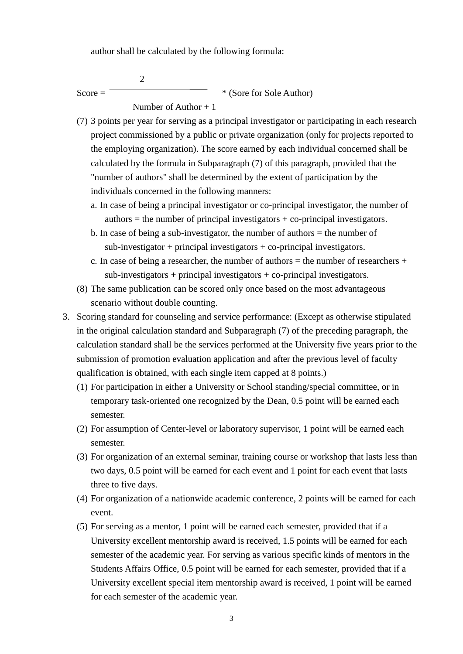author shall be calculated by the following formula:

 2  $Score =$  \* (Sore for Sole Author) Number of Author  $+1$ 

- (7) 3 points per year for serving as a principal investigator or participating in each research project commissioned by a public or private organization (only for projects reported to the employing organization). The score earned by each individual concerned shall be calculated by the formula in Subparagraph (7) of this paragraph, provided that the "number of authors" shall be determined by the extent of participation by the individuals concerned in the following manners:
	- a. In case of being a principal investigator or co-principal investigator, the number of  $a$ uthors = the number of principal investigators + co-principal investigators.
	- b. In case of being a sub-investigator, the number of authors = the number of  $sub-<sub>i</sub>$  investigator + principal investigators + co-principal investigators.
	- c. In case of being a researcher, the number of authors  $=$  the number of researchers  $+$  $sub-<sub>i</sub>$  investigators + principal investigators + co-principal investigators.
- (8) The same publication can be scored only once based on the most advantageous scenario without double counting.
- 3. Scoring standard for counseling and service performance: (Except as otherwise stipulated in the original calculation standard and Subparagraph (7) of the preceding paragraph, the calculation standard shall be the services performed at the University five years prior to the submission of promotion evaluation application and after the previous level of faculty qualification is obtained, with each single item capped at 8 points.)
	- (1) For participation in either a University or School standing/special committee, or in temporary task-oriented one recognized by the Dean, 0.5 point will be earned each semester.
	- (2) For assumption of Center-level or laboratory supervisor, 1 point will be earned each semester.
	- (3) For organization of an external seminar, training course or workshop that lasts less than two days, 0.5 point will be earned for each event and 1 point for each event that lasts three to five days.
	- (4) For organization of a nationwide academic conference, 2 points will be earned for each event.
	- (5) For serving as a mentor, 1 point will be earned each semester, provided that if a University excellent mentorship award is received, 1.5 points will be earned for each semester of the academic year. For serving as various specific kinds of mentors in the Students Affairs Office, 0.5 point will be earned for each semester, provided that if a University excellent special item mentorship award is received, 1 point will be earned for each semester of the academic year.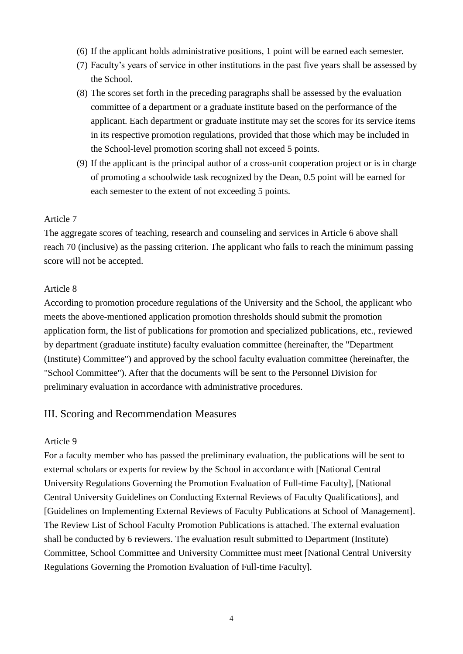- (6) If the applicant holds administrative positions, 1 point will be earned each semester.
- (7) Faculty's years of service in other institutions in the past five years shall be assessed by the School.
- (8) The scores set forth in the preceding paragraphs shall be assessed by the evaluation committee of a department or a graduate institute based on the performance of the applicant. Each department or graduate institute may set the scores for its service items in its respective promotion regulations, provided that those which may be included in the School-level promotion scoring shall not exceed 5 points.
- (9) If the applicant is the principal author of a cross-unit cooperation project or is in charge of promoting a schoolwide task recognized by the Dean, 0.5 point will be earned for each semester to the extent of not exceeding 5 points.

#### Article 7

The aggregate scores of teaching, research and counseling and services in Article 6 above shall reach 70 (inclusive) as the passing criterion. The applicant who fails to reach the minimum passing score will not be accepted.

#### Article 8

According to promotion procedure regulations of the University and the School, the applicant who meets the above-mentioned application promotion thresholds should submit the promotion application form, the list of publications for promotion and specialized publications, etc., reviewed by department (graduate institute) faculty evaluation committee (hereinafter, the "Department (Institute) Committee") and approved by the school faculty evaluation committee (hereinafter, the "School Committee"). After that the documents will be sent to the Personnel Division for preliminary evaluation in accordance with administrative procedures.

## III. Scoring and Recommendation Measures

#### Article 9

For a faculty member who has passed the preliminary evaluation, the publications will be sent to external scholars or experts for review by the School in accordance with [National Central University Regulations Governing the Promotion Evaluation of Full-time Faculty], [National Central University Guidelines on Conducting External Reviews of Faculty Qualifications], and [Guidelines on Implementing External Reviews of Faculty Publications at School of Management]. The Review List of School Faculty Promotion Publications is attached. The external evaluation shall be conducted by 6 reviewers. The evaluation result submitted to Department (Institute) Committee, School Committee and University Committee must meet [National Central University Regulations Governing the Promotion Evaluation of Full-time Faculty].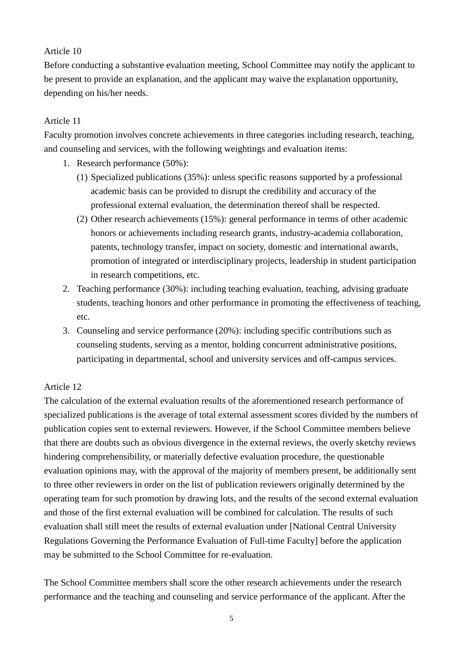#### Article 10

Before conducting a substantive evaluation meeting, School Committee may notify the applicant to be present to provide an explanation, and the applicant may waive the explanation opportunity, depending on his/her needs.

## Article 11

Faculty promotion involves concrete achievements in three categories including research, teaching, and counseling and services, with the following weightings and evaluation items:

- 1. Research performance (50%):
	- (1) Specialized publications (35%): unless specific reasons supported by a professional academic basis can be provided to disrupt the credibility and accuracy of the professional external evaluation, the determination thereof shall be respected.
	- (2) Other research achievements (15%): general performance in terms of other academic honors or achievements including research grants, industry-academia collaboration, patents, technology transfer, impact on society, domestic and international awards, promotion of integrated or interdisciplinary projects, leadership in student participation in research competitions, etc.
- 2. Teaching performance (30%): including teaching evaluation, teaching, advising graduate students, teaching honors and other performance in promoting the effectiveness of teaching, etc.
- 3. Counseling and service performance (20%): including specific contributions such as counseling students, serving as a mentor, holding concurrent administrative positions, participating in departmental, school and university services and off-campus services.

## Article 12

The calculation of the external evaluation results of the aforementioned research performance of specialized publications is the average of total external assessment scores divided by the numbers of publication copies sent to external reviewers. However, if the School Committee members believe that there are doubts such as obvious divergence in the external reviews, the overly sketchy reviews hindering comprehensibility, or materially defective evaluation procedure, the questionable evaluation opinions may, with the approval of the majority of members present, be additionally sent to three other reviewers in order on the list of publication reviewers originally determined by the operating team for such promotion by drawing lots, and the results of the second external evaluation and those of the first external evaluation will be combined for calculation. The results of such evaluation shall still meet the results of external evaluation under [National Central University Regulations Governing the Performance Evaluation of Full-time Faculty] before the application may be submitted to the School Committee for re-evaluation.

The School Committee members shall score the other research achievements under the research performance and the teaching and counseling and service performance of the applicant. After the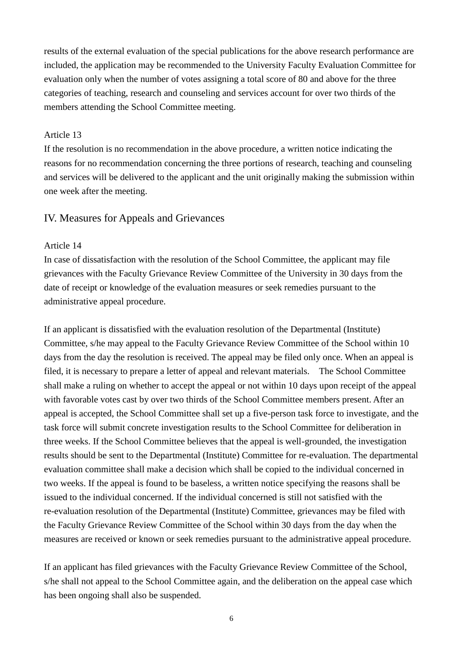results of the external evaluation of the special publications for the above research performance are included, the application may be recommended to the University Faculty Evaluation Committee for evaluation only when the number of votes assigning a total score of 80 and above for the three categories of teaching, research and counseling and services account for over two thirds of the members attending the School Committee meeting.

#### Article 13

If the resolution is no recommendation in the above procedure, a written notice indicating the reasons for no recommendation concerning the three portions of research, teaching and counseling and services will be delivered to the applicant and the unit originally making the submission within one week after the meeting.

#### IV. Measures for Appeals and Grievances

#### Article 14

In case of dissatisfaction with the resolution of the School Committee, the applicant may file grievances with the Faculty Grievance Review Committee of the University in 30 days from the date of receipt or knowledge of the evaluation measures or seek remedies pursuant to the administrative appeal procedure.

If an applicant is dissatisfied with the evaluation resolution of the Departmental (Institute) Committee, s/he may appeal to the Faculty Grievance Review Committee of the School within 10 days from the day the resolution is received. The appeal may be filed only once. When an appeal is filed, it is necessary to prepare a letter of appeal and relevant materials. The School Committee shall make a ruling on whether to accept the appeal or not within 10 days upon receipt of the appeal with favorable votes cast by over two thirds of the School Committee members present. After an appeal is accepted, the School Committee shall set up a five-person task force to investigate, and the task force will submit concrete investigation results to the School Committee for deliberation in three weeks. If the School Committee believes that the appeal is well-grounded, the investigation results should be sent to the Departmental (Institute) Committee for re-evaluation. The departmental evaluation committee shall make a decision which shall be copied to the individual concerned in two weeks. If the appeal is found to be baseless, a written notice specifying the reasons shall be issued to the individual concerned. If the individual concerned is still not satisfied with the re-evaluation resolution of the Departmental (Institute) Committee, grievances may be filed with the Faculty Grievance Review Committee of the School within 30 days from the day when the measures are received or known or seek remedies pursuant to the administrative appeal procedure.

If an applicant has filed grievances with the Faculty Grievance Review Committee of the School, s/he shall not appeal to the School Committee again, and the deliberation on the appeal case which has been ongoing shall also be suspended.